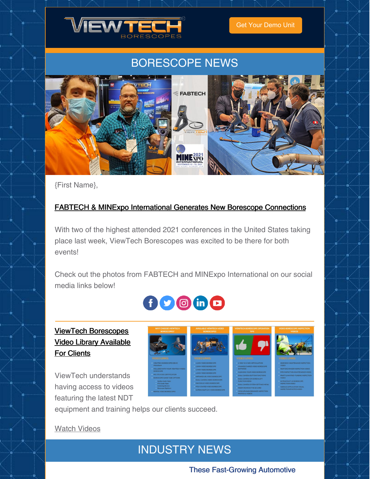

Get Your [Demo](https://www.viewtech.com/borescope-demo-offer/?utm_source=cc&utm_medium=email&utm_campaign=newsletter0921) Unit

## BORESCOPE NEWS



{First Name},

#### FABTECH & MINExpo [International](https://www.viewtech.com/viewtech-borescopes-exhibiting-at-fabtech-and-minexpo-international/?utm_source=cc&utm_medium=email&utm_campaign=newsletter0921) Generates New Borescope Connections

With two of the highest attended 2021 conferences in the United States taking place last week, ViewTech Borescopes was excited to be there for both events!

Check out the photos from FABTECH and MINExpo International on our social media links below!



### ViewTech [Borescopes](https://www.viewtech.com/borescope-videos/?utm_source=cc&utm_medium=email&utm_campaign=newsletter0921) Video Library Available For Clients

ViewTech understands having access to videos featuring the latest NDT



equipment and training helps our clients succeed.

Watch [Videos](https://www.viewtech.com/borescope-videos/?utm_source=cc&utm_medium=email&utm_campaign=newsletter0921)

## INDUSTRY NEWS

#### These Fast-Growing Automotive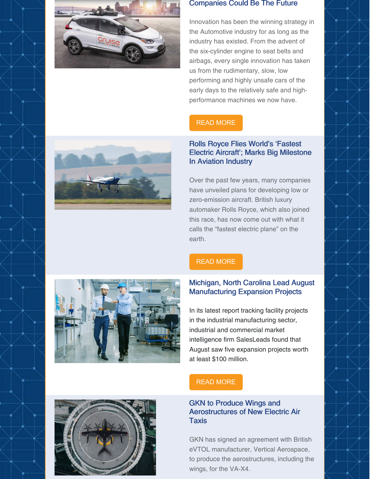

#### Companies Could Be The Future

Innovation has been the winning strategy in the Automotive industry for as long as the industry has existed. From the advent of the six-cylinder engine to seat belts and airbags, every single innovation has taken us from the rudimentary, slow, low performing and highly unsafe cars of the early days to the relatively safe and highperformance machines we now have.

#### READ [MORE](https://www.hotcars.com/these-fastgrowing-automotive-startups-could-be-the-future/)

#### Rolls Royce Flies World's 'Fastest Electric Aircraft'; Marks Big Milestone In Aviation Industry

Over the past few years, many companies have unveiled plans for developing low or zero-emission aircraft. British luxury automaker Rolls Royce, which also joined this race, has now come out with what it calls the "fastest electric plane" on the earth.



#### READ [MORE](https://eurasiantimes.com/rolls-royce-flies-worlds-fastest-electric-aircraft-marks-big-milestone-in-aviation-industry-watch/)

#### Michigan, North Carolina Lead August Manufacturing Expansion Projects

In its latest report tracking facility projects in the industrial manufacturing sector, industrial and commercial market intelligence firm SalesLeads found that August saw five expansion projects worth at least \$100 million.



#### READ [MORE](https://www.thomasnet.com/insights/michigan-north-carolina-lead-august-manufacturing-expansion-projects-100-million-total-report/)

#### GKN to Produce Wings and Aerostructures of New Electric Air **Taxis**

GKN has signed an agreement with British eVTOL manufacturer, Vertical Aerospace, to produce the aerostructures, including the wings, for the VA-X4.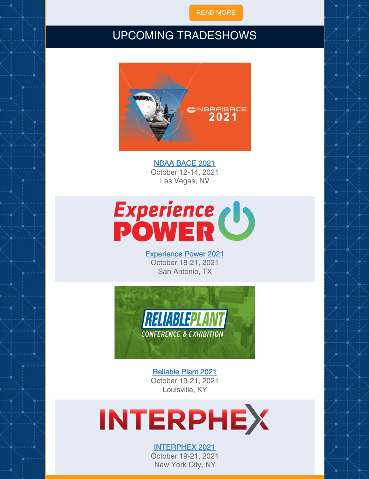READ [MORE](https://www.aero-mag.com/gkn-vertical-aerospace-21092021)

## UPCOMING TRADESHOWS



NBAA [BACE](https://www.viewtech.com/about-us/tradeshows/nbaa-bace-2021/?utm_source=cc&utm_medium=email&utm_campaign=newsletter0921) 2021 October 12-14, 2021 Las Vegas, NV



[Experience](https://www.viewtech.com/about-us/tradeshows/experience-power-2021/?utm_source=cc&utm_medium=email&utm_campaign=newsletter0921) Power 2021 October 18-21, 2021 San Antonio, TX



[Reliable](https://www.viewtech.com/about-us/tradeshows/reliable-plant-conference-2021/?utm_source=cc&utm_medium=email&utm_campaign=newsletter0921) Plant 2021 October 19-21, 2021 Louisville, KY

# **INTERPHEX**

#### [INTERPHEX](https://www.viewtech.com/about-us/tradeshows/interphex-2021/?utm_source=cc&utm_medium=email&utm_campaign=newsletter0921) 2021

October 19-21, 2021 New York City, NY